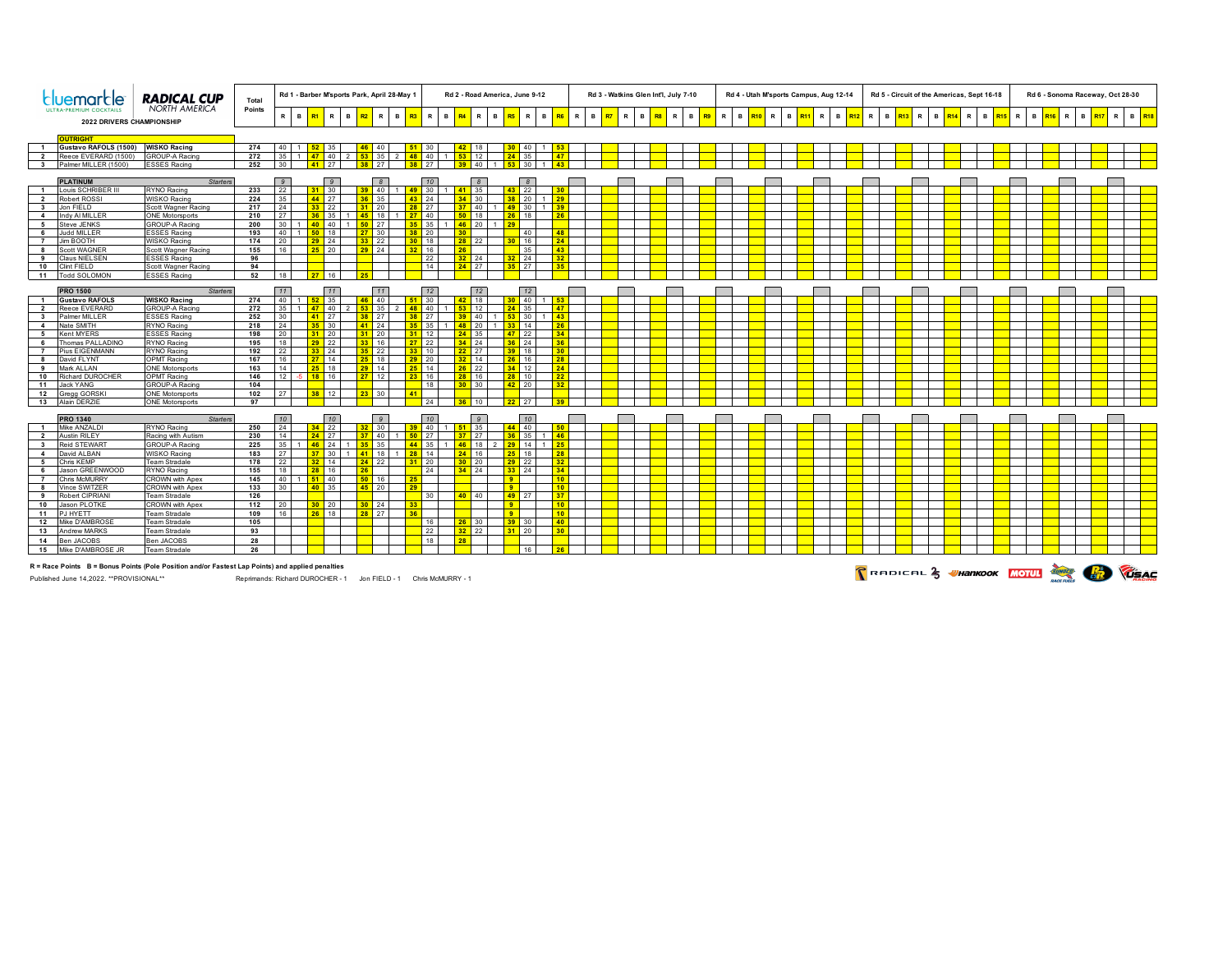|                                                          |                                | RADICAL CUP                                  | Total      | Rd 1 - Barber M'sports Park, April 28-May 1 |             |                             |           |                    |                   |                                | Rd 2 - Road America, June 9-12 |                    |                 |                        |                |                                    |                 |                       |   | Rd 3 - Watkins Glen Int'l, July 7-10 |                |              |          |                    | Rd 4 - Utah M'sports Campus, Aug 12-14 |                   |     |   |                                 |          |  |    |                          |              | Rd 5 - Circuit of the Americas, Sept 16-18 |   |                            |              | Rd 6 - Sonoma Raceway, Oct 28-30 |                   |     |                 |              |  |                   |  |
|----------------------------------------------------------|--------------------------------|----------------------------------------------|------------|---------------------------------------------|-------------|-----------------------------|-----------|--------------------|-------------------|--------------------------------|--------------------------------|--------------------|-----------------|------------------------|----------------|------------------------------------|-----------------|-----------------------|---|--------------------------------------|----------------|--------------|----------|--------------------|----------------------------------------|-------------------|-----|---|---------------------------------|----------|--|----|--------------------------|--------------|--------------------------------------------|---|----------------------------|--------------|----------------------------------|-------------------|-----|-----------------|--------------|--|-------------------|--|
| <b>NORTH AMERICA</b><br><b>2022 DRIVERS CHAMPIONSHIP</b> |                                | Points                                       |            | R B <mark>R1</mark>                         | $\mathbf R$ | B                           | <b>R2</b> | R.                 | B                 | $\mathbb{R}$<br>R <sub>3</sub> |                                | $B$ R <sub>4</sub> | R.              | <b>B</b>               | R <sub>5</sub> | $\mathbf R$<br>$\mathbf{B}$        |                 | R.                    | B | $\mathbb{R}$<br>RT                   | $\overline{B}$ | $\mathbb{R}$ | <b>B</b> | $\mathbb{R}$<br>R9 |                                        | B R <sub>10</sub> | R I | B | $\mathbb{R}$<br>R <sub>11</sub> | <b>B</b> |  | R. | <b>B</b> R <sub>13</sub> | $\mathbb{R}$ | B R <sub>1</sub>                           | R | $\mathbf{B}$<br><b>R15</b> | $\mathbb{R}$ |                                  | B R <sub>16</sub> | R I | B<br><b>R17</b> | $\mathbb{R}$ |  | B R <sub>18</sub> |  |
|                                                          |                                |                                              |            |                                             |             |                             |           |                    |                   |                                |                                |                    |                 |                        |                |                                    |                 |                       |   |                                      |                |              |          |                    |                                        |                   |     |   |                                 |          |  |    |                          |              |                                            |   |                            |              |                                  |                   |     |                 |              |  |                   |  |
|                                                          | <b>OUTRIGHT</b>                |                                              |            |                                             |             |                             |           |                    |                   |                                |                                |                    |                 |                        |                |                                    |                 |                       |   |                                      |                |              |          |                    |                                        |                   |     |   |                                 |          |  |    |                          |              |                                            |   |                            |              |                                  |                   |     |                 |              |  |                   |  |
| $\blacksquare$                                           | Gustavo RAFOLS (1500)          | <b>WISKO Racing</b>                          | 274        | 40                                          |             |                             |           | AF                 | 40                |                                |                                |                    |                 |                        |                |                                    | 40              |                       |   |                                      |                |              |          |                    |                                        |                   |     |   |                                 |          |  |    |                          |              |                                            |   |                            |              |                                  |                   |     |                 |              |  |                   |  |
| $\overline{\mathbf{2}}$                                  | Reece EVERARD (1500)           | <b>GROUP-A Racino</b>                        | 272        | 35                                          |             | 47<br>40                    |           | 53 35              |                   | $\overline{2}$                 | 48<br>40                       |                    | 53              | 12                     |                | 24                                 | 35              | 47                    |   |                                      |                |              |          |                    |                                        |                   |     |   |                                 |          |  |    |                          |              |                                            |   |                            |              |                                  |                   |     |                 |              |  |                   |  |
|                                                          | 3 Palmer MILLER (1500)         | <b>ESSES Racing</b>                          | 252        | 30                                          |             | 27<br>41                    |           | 38 27              |                   |                                | 27<br>38 <sup>2</sup>          |                    |                 | 39 40                  |                | $53 \overline{\smash{\big)}\ 30}$  |                 | 43                    |   |                                      |                |              |          |                    |                                        |                   |     |   |                                 |          |  |    |                          |              |                                            |   |                            |              |                                  |                   |     |                 |              |  |                   |  |
|                                                          | <b>PLATINUM</b>                | <b>Starters</b>                              |            | $\overline{9}$                              |             | $\overline{g}$              |           |                    | $\overline{8}$    |                                | 10                             |                    |                 | $\overline{8}$         |                |                                    | $\mathcal{B}$   |                       |   |                                      |                |              |          |                    |                                        |                   |     |   |                                 |          |  |    |                          |              |                                            |   |                            |              |                                  |                   |     |                 |              |  |                   |  |
| $\overline{1}$                                           | ouis SCHRIBER I                | RYNO Racing                                  | 233        | 22                                          |             | 30<br>31 <sup>2</sup>       |           | -39.               | $\blacksquare$ 40 |                                | 49 30                          |                    |                 | 35                     |                | 43 <sup>°</sup>                    | 22              | 30                    |   |                                      |                |              |          |                    |                                        |                   |     |   |                                 |          |  |    |                          |              |                                            |   |                            |              |                                  |                   |     |                 |              |  |                   |  |
| $\overline{2}$                                           | Robert ROSSI                   | WISKO Racing                                 | 224        | 35                                          |             | 44 27                       |           | 36 <sup>2</sup>    | 35                |                                | 24<br>43 <sup>7</sup>          |                    | 34              | 30 <sup>°</sup>        |                | 38 <sup>2</sup>                    | 20              | 29                    |   |                                      |                |              |          |                    |                                        |                   |     |   |                                 |          |  |    |                          |              |                                            |   |                            |              |                                  |                   |     |                 |              |  |                   |  |
| $\overline{\mathbf{3}}$                                  | Ion FIFI D                     | Scott Wagner Racing                          | 217        | 24                                          |             | $33$ 22                     |           |                    | 120               |                                | 28<br>27                       |                    |                 | $\sqrt{40}$            |                | 49 30                              |                 | 39 <sup>°</sup>       |   |                                      |                |              |          |                    |                                        |                   |     |   |                                 |          |  |    |                          |              |                                            |   |                            |              |                                  |                   |     |                 |              |  |                   |  |
| $\overline{4}$                                           | Indy AI MILLER                 | <b>ONE Motorsports</b>                       | 210        | 27                                          |             | 35<br>36                    |           | 45 18              |                   |                                | 40<br>27                       |                    | 50              | 18                     |                | 26                                 | 18              | 26                    |   |                                      |                |              |          |                    |                                        |                   |     |   |                                 |          |  |    |                          |              |                                            |   |                            |              |                                  |                   |     |                 |              |  |                   |  |
| 5                                                        | Steve JENKS                    | GROUP-A Racing                               | 200        | 30                                          |             | 40<br>40                    |           | 50 27              |                   |                                | 35                             |                    |                 | $46$ 20                |                |                                    |                 |                       |   |                                      |                |              |          |                    |                                        |                   |     |   |                                 |          |  |    |                          |              |                                            |   |                            |              |                                  |                   |     |                 |              |  |                   |  |
| 6                                                        | Judd MILLER                    | ESSES Racing                                 | 193        | 40 <sup>1</sup>                             |             | 50 <sub>2</sub><br>18       |           | $27 \t30$          |                   |                                | $38$ 20                        |                    | 30 <sup>°</sup> |                        |                |                                    | 40              | 48                    |   |                                      |                |              |          |                    |                                        |                   |     |   |                                 |          |  |    |                          |              |                                            |   |                            |              |                                  |                   |     |                 |              |  |                   |  |
| $\overline{7}$                                           | Jim BOOTH                      | <b>WISKO Racing</b>                          | 174        | 20                                          |             | $29$ 24                     |           | 33 22              |                   |                                | $30$ 18                        |                    |                 | 28 22                  |                | 30 <sup>°</sup>                    | 16              | 24                    |   |                                      |                |              |          |                    |                                        |                   |     |   |                                 |          |  |    |                          |              |                                            |   |                            |              |                                  |                   |     |                 |              |  |                   |  |
| 8                                                        | Scott WAGNER                   | Scott Wagner Racing                          | 155        | 16                                          |             | $25$ 20                     |           | 29 24              |                   |                                | 16<br>32 <sub>2</sub>          |                    | 26              |                        |                |                                    | 35              | 43                    |   |                                      |                |              |          |                    |                                        |                   |     |   |                                 |          |  |    |                          |              |                                            |   |                            |              |                                  |                   |     |                 |              |  |                   |  |
| 9                                                        | Claus NIELSEN                  | ESSES Racing                                 | 96         |                                             |             |                             |           |                    |                   |                                | 22                             |                    |                 | $32 \ 24$              |                | $32$ 24                            |                 | 32 <sup>°</sup>       |   |                                      |                |              |          |                    |                                        |                   |     |   |                                 |          |  |    |                          |              |                                            |   |                            |              |                                  |                   |     |                 |              |  |                   |  |
| 10                                                       | <b>Clint FIELD</b>             | Scott Wagner Racing                          | 94         |                                             |             |                             |           |                    |                   |                                | 14                             |                    |                 | $24$ 27                |                | $35$ 27                            |                 | 35                    |   |                                      |                |              |          |                    |                                        |                   |     |   |                                 |          |  |    |                          |              |                                            |   |                            |              |                                  |                   |     |                 |              |  |                   |  |
| 11                                                       | <b>Todd SOLOMON</b>            | <b>ESSES Racing</b>                          | 52         | 18                                          |             | 16<br>27                    |           | 25                 |                   |                                |                                |                    |                 |                        |                |                                    |                 |                       |   |                                      |                |              |          |                    |                                        |                   |     |   |                                 |          |  |    |                          |              |                                            |   |                            |              |                                  |                   |     |                 |              |  |                   |  |
|                                                          | <b>PRO 1500</b>                | <b>Starters</b>                              |            | 11                                          |             | 11                          |           |                    | 11                |                                | 12                             |                    |                 | 12                     |                |                                    | 12              |                       |   |                                      |                |              |          |                    |                                        |                   |     |   |                                 |          |  |    |                          |              |                                            |   |                            |              |                                  |                   |     |                 |              |  |                   |  |
| $\overline{1}$                                           | <b>Gustavo RAFOLS</b>          | <b>WISKO Racing</b>                          | 274        | 40 <sup>1</sup>                             |             | 35                          |           |                    | 40 <sup>°</sup>   |                                | 30                             |                    |                 | 18                     |                |                                    | 40 <sup>1</sup> |                       |   |                                      |                |              |          |                    |                                        |                   |     |   |                                 |          |  |    |                          |              |                                            |   |                            |              |                                  |                   |     |                 |              |  |                   |  |
| $\overline{2}$                                           | Reece EVERARD                  | <b>GROUP-A Racino</b>                        | 272        | 35                                          |             | $ 40\rangle$<br>47          |           | 53 35              |                   |                                | $ 40\rangle$<br>48             |                    |                 | 12                     |                | 24                                 | 35              | 47                    |   |                                      |                |              |          |                    |                                        |                   |     |   |                                 |          |  |    |                          |              |                                            |   |                            |              |                                  |                   |     |                 |              |  |                   |  |
| $\overline{\mathbf{3}}$                                  | Palmer MILLER                  | <b>ESSES Racing</b>                          | 252        | 30                                          |             | 27<br>41                    |           | $38$ 27            |                   |                                | 27<br>38                       |                    |                 | 40                     |                |                                    | 30              | 43                    |   |                                      |                |              |          |                    |                                        |                   |     |   |                                 |          |  |    |                          |              |                                            |   |                            |              |                                  |                   |     |                 |              |  |                   |  |
| $\overline{4}$                                           | Nate SMITH                     | RYNO Racing                                  | 218        | 24                                          |             | 30<br>35.                   |           | 41 24              |                   |                                | 35<br>35 <sub>1</sub>          |                    |                 | 48 20                  | 1 <sup>1</sup> | 33 <sup>°</sup>                    | 14              | 26                    |   |                                      |                |              |          |                    |                                        |                   |     |   |                                 |          |  |    |                          |              |                                            |   |                            |              |                                  |                   |     |                 |              |  |                   |  |
| 5                                                        | Kent MYERS                     | <b>ESSES Racing</b>                          | 198        | 20                                          |             | $31$ 20                     |           | $31$ 20            |                   |                                | 12<br>31                       |                    | 24              | 35                     |                | 47                                 | 22              | 34                    |   |                                      |                |              |          |                    |                                        |                   |     |   |                                 |          |  |    |                          |              |                                            |   |                            |              |                                  |                   |     |                 |              |  |                   |  |
| 6                                                        | Thomas PALLADINO               | RYNO Racing                                  | 195        | 18                                          |             | $29$ 22                     |           | $33$ 16            |                   |                                | 22<br>27                       |                    |                 | $34$ 24                |                | 36 <sup>2</sup>                    | 24              | 36                    |   |                                      |                |              |          |                    |                                        |                   |     |   |                                 |          |  |    |                          |              |                                            |   |                            |              |                                  |                   |     |                 |              |  |                   |  |
| $\overline{7}$                                           | Pius EIGENMANN                 | RYNO Racing                                  | 192        | 22                                          |             | $33$ 24                     |           | $35$ 22            |                   |                                | $33$ 10                        |                    |                 | $22$ 27                |                | 39 <sup>1</sup>                    | 18              | 30                    |   |                                      |                |              |          |                    |                                        |                   |     |   |                                 |          |  |    |                          |              |                                            |   |                            |              |                                  |                   |     |                 |              |  |                   |  |
| - 8                                                      | David FLYNT                    | <b>OPMT Racing</b>                           | 167        | 16<br>14                                    |             | 14<br>27 <sup>1</sup>       |           | $25 \t18$          |                   |                                | $29$ 20                        |                    |                 | $32 \ 14$              |                | $26$ 16                            |                 | 28                    |   |                                      |                |              |          |                    |                                        |                   |     |   |                                 |          |  |    |                          |              |                                            |   |                            |              |                                  |                   |     |                 |              |  |                   |  |
| - 9<br>10                                                | Mark ALLAN<br>Richard DUROCHER | <b>ONE Motorsports</b><br><b>OPMT Racing</b> | 163<br>146 | 12                                          | -51         | 25 <sub>2</sub><br>18<br>16 |           | $29$ 14<br>$27$ 12 |                   |                                | 25 <sub>2</sub><br>14<br>16    |                    |                 | $26$ 22<br>146         |                | 34<br>$28$ 10                      | 12              | 24<br>22              |   |                                      |                |              |          |                    |                                        |                   |     |   |                                 |          |  |    |                          |              |                                            |   |                            |              |                                  |                   |     |                 |              |  |                   |  |
| 11                                                       | <b>Jack YANG</b>               | GROUP-A Racino                               | 104        |                                             |             |                             |           |                    |                   |                                | 18                             |                    |                 | $30 \t30$              |                | $42$ 20                            |                 | 32 <sup>°</sup>       |   |                                      |                |              |          |                    |                                        |                   |     |   |                                 |          |  |    |                          |              |                                            |   |                            |              |                                  |                   |     |                 |              |  |                   |  |
| 12                                                       | Gregg GORSK                    | <b>ONE Motorsports</b>                       | 102        | 27                                          |             | 38 <sup>2</sup><br>12       |           | $23 \t30$          |                   |                                | 41                             |                    |                 |                        |                |                                    |                 |                       |   |                                      |                |              |          |                    |                                        |                   |     |   |                                 |          |  |    |                          |              |                                            |   |                            |              |                                  |                   |     |                 |              |  |                   |  |
| 13                                                       | Alain DERZIE                   | <b>ONE Motorsports</b>                       | 97         |                                             |             |                             |           |                    |                   |                                | 24                             |                    |                 | $36 \quad 10$          |                | 22 <sub>2</sub>                    | 27              |                       |   |                                      |                |              |          |                    |                                        |                   |     |   |                                 |          |  |    |                          |              |                                            |   |                            |              |                                  |                   |     |                 |              |  |                   |  |
|                                                          |                                |                                              |            |                                             |             |                             |           |                    |                   |                                |                                |                    |                 |                        |                |                                    |                 |                       |   |                                      |                |              |          |                    |                                        |                   |     |   |                                 |          |  |    |                          |              |                                            |   |                            |              |                                  |                   |     |                 |              |  |                   |  |
|                                                          | <b>PRO 1340</b>                | <b>Starters</b>                              |            | 10                                          |             | 10                          |           |                    |                   |                                | 10                             |                    |                 |                        |                |                                    | 10              |                       |   |                                      |                |              |          |                    |                                        |                   |     |   |                                 |          |  |    |                          |              |                                            |   |                            |              |                                  |                   |     |                 |              |  |                   |  |
| $\overline{1}$                                           | Mike ANZALDI                   | RYNO Racing                                  | 250        | 24                                          |             | 22                          |           |                    | 30 <sup>°</sup>   |                                | 40                             |                    |                 | 35                     |                | 44                                 | 40              |                       |   |                                      |                |              |          |                    |                                        |                   |     |   |                                 |          |  |    |                          |              |                                            |   |                            |              |                                  |                   |     |                 |              |  |                   |  |
| $\overline{2}$                                           | Austin RILEY                   | Racing with Autism                           | 230        | 14                                          |             | $24$ 27                     |           | -27                | 140               |                                | 27<br>50.                      |                    |                 | 27                     |                | 36 <sup>2</sup>                    | 35              | 46                    |   |                                      |                |              |          |                    |                                        |                   |     |   |                                 |          |  |    |                          |              |                                            |   |                            |              |                                  |                   |     |                 |              |  |                   |  |
| $\overline{\mathbf{3}}$                                  | Reid STEWART                   | GROUP-A Racing                               | 225        | 35<br>27                                    |             | 46<br>24<br>30              |           |                    | 35                |                                | 35<br>44<br>14                 |                    | $\overline{AB}$ | 18                     |                | 29 <sup>2</sup>                    | 14              | 25                    |   |                                      |                |              |          |                    |                                        |                   |     |   |                                 |          |  |    |                          |              |                                            |   |                            |              |                                  |                   |     |                 |              |  |                   |  |
| $\overline{4}$<br>5                                      | David ALBAN<br>Chris KEMP      | WISKO Racing<br>Team Stradale                | 183<br>178 | 22                                          |             | 37 <sup>2</sup><br>$32$ 14  |           | 41 18<br>$24$ 22   |                   |                                | 28<br>$31$ 20                  |                    |                 | $24$ 16<br>$30\quad20$ |                | 25 <sub>1</sub><br>29 <sub>2</sub> | 18<br> 22       | 28<br>32 <sup>°</sup> |   |                                      |                |              |          |                    |                                        |                   |     |   |                                 |          |  |    |                          |              |                                            |   |                            |              |                                  |                   |     |                 |              |  |                   |  |
| 6                                                        | Jason GREENWOOD                | RYNO Racing                                  | 155        | 18                                          |             | 28<br>16                    |           | 26                 |                   |                                | 24                             |                    |                 | $34$ 24                |                | $33$ 24                            |                 | 34                    |   |                                      |                |              |          |                    |                                        |                   |     |   |                                 |          |  |    |                          |              |                                            |   |                            |              |                                  |                   |     |                 |              |  |                   |  |
| $\overline{7}$                                           | Chris McMURR'                  | <b>CROWN with Apex</b>                       | 145        | 40 <sup>1</sup>                             | 1           | 40<br>51                    |           | 50 16              |                   |                                | 25                             |                    |                 |                        |                | 9                                  |                 | $10-1$                |   |                                      |                |              |          |                    |                                        |                   |     |   |                                 |          |  |    |                          |              |                                            |   |                            |              |                                  |                   |     |                 |              |  |                   |  |
| 8                                                        | Vince SWITZER                  | CROWN with Apex                              | 133        | 30                                          |             | 40 35                       |           | $45$ 20            |                   |                                | 29 <sup>°</sup>                |                    |                 |                        |                | 9 <sup>1</sup>                     |                 | 10 <sup>1</sup>       |   |                                      |                |              |          |                    |                                        |                   |     |   |                                 |          |  |    |                          |              |                                            |   |                            |              |                                  |                   |     |                 |              |  |                   |  |
| 9                                                        | Robert CIPRIANI                | <b>Team Stradale</b>                         | 126        |                                             |             |                             |           |                    |                   |                                | 30                             |                    | 40 <sup>1</sup> | $\blacksquare$         |                | 49 27                              |                 | 37                    |   |                                      |                |              |          |                    |                                        |                   |     |   |                                 |          |  |    |                          |              |                                            |   |                            |              |                                  |                   |     |                 |              |  |                   |  |
| 10                                                       | Jason PLOTKE                   | <b>CROWN with Apex</b>                       | 112        | 20                                          |             | $30$ 20                     |           | $30 \quad 24$      |                   |                                | 33 <sup>°</sup>                |                    |                 |                        |                | 9                                  |                 | $10-1$                |   |                                      |                |              |          |                    |                                        |                   |     |   |                                 |          |  |    |                          |              |                                            |   |                            |              |                                  |                   |     |                 |              |  |                   |  |
| 11                                                       | PJ HYETT                       | Team Stradale                                | 109        | 16                                          |             | 18<br>26 <sub>2</sub>       |           | 28 27              |                   |                                | 36 <sup>2</sup>                |                    |                 |                        |                | 9                                  |                 | 10 <sup>1</sup>       |   |                                      |                |              |          |                    |                                        |                   |     |   |                                 |          |  |    |                          |              |                                            |   |                            |              |                                  |                   |     |                 |              |  |                   |  |
| 12                                                       | Mike D'AMBROSE                 | Team Stradale                                | 105        |                                             |             |                             |           |                    |                   |                                | 16                             |                    |                 | 26 30                  |                | 39 30                              |                 | 40                    |   |                                      |                |              |          |                    |                                        |                   |     |   |                                 |          |  |    |                          |              |                                            |   |                            |              |                                  |                   |     |                 |              |  |                   |  |
| 13                                                       | Andrew MARKS                   | <b>Team Stradale</b>                         | 93         |                                             |             |                             |           |                    |                   |                                | 22                             |                    |                 | $32$ 22                |                | $31$ 20                            |                 | 30 <sup>°</sup>       |   |                                      |                |              |          |                    |                                        |                   |     |   |                                 |          |  |    |                          |              |                                            |   |                            |              |                                  |                   |     |                 |              |  |                   |  |
| 14                                                       | Ben JACOBS                     | Ben JACOBS                                   | 28         |                                             |             |                             |           |                    |                   |                                | 18                             |                    | 28              |                        |                |                                    |                 |                       |   |                                      |                |              |          |                    |                                        |                   |     |   |                                 |          |  |    |                          |              |                                            |   |                            |              |                                  |                   |     |                 |              |  |                   |  |
| 15                                                       | Mike D'AMBROSE JR              | <b>Team Stradale</b>                         | 26         |                                             |             |                             |           |                    |                   |                                |                                |                    |                 |                        |                |                                    | 16              | 26                    |   |                                      |                |              |          |                    |                                        |                   |     |   |                                 |          |  |    |                          |              |                                            |   |                            |              |                                  |                   |     |                 |              |  |                   |  |
|                                                          |                                |                                              |            |                                             |             |                             |           |                    |                   |                                |                                |                    |                 |                        |                |                                    |                 |                       |   |                                      |                |              |          |                    |                                        |                   |     |   |                                 |          |  |    |                          |              |                                            |   |                            |              |                                  |                   |     |                 |              |  |                   |  |

**R = Race Points B = Bonus Points (Pole Position and/or Fastest Lap Points) and applied penalties**

Published June 14,2022. \*\*PROVISIONAL\*\* Reprimands: Richard DUROCHER - 1 Jon FIELD - 1 Chris McMURRY - 1

**CRAIGE A VHANKOOK MOULE AND CLAS**